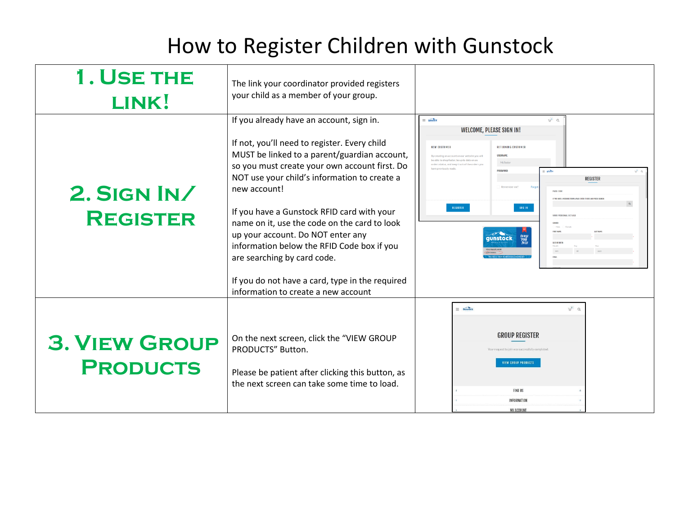## How to Register Children with Gunstock

| 1. USE THE<br>LINK!                     | The link your coordinator provided registers<br>your child as a member of your group.                                                                                                                                                                                                                                                                                                                                                                                                                                                                               |                                                                                                                                                                                                                                                                                                                                                                                                                                                                                                        |
|-----------------------------------------|---------------------------------------------------------------------------------------------------------------------------------------------------------------------------------------------------------------------------------------------------------------------------------------------------------------------------------------------------------------------------------------------------------------------------------------------------------------------------------------------------------------------------------------------------------------------|--------------------------------------------------------------------------------------------------------------------------------------------------------------------------------------------------------------------------------------------------------------------------------------------------------------------------------------------------------------------------------------------------------------------------------------------------------------------------------------------------------|
| <b>2. SIGN IN/</b><br><b>REGISTER</b>   | If you already have an account, sign in.<br>If not, you'll need to register. Every child<br>MUST be linked to a parent/guardian account,<br>so you must create your own account first. Do<br>NOT use your child's information to create a<br>new account!<br>If you have a Gunstock RFID card with your<br>name on it, use the code on the card to look<br>up your account. Do NOT enter any<br>information below the RFID Code box if you<br>are searching by card code.<br>If you do not have a card, type in the required<br>information to create a new account | $\equiv$ ginstock<br>$\overline{u^{\bullet}}$ a<br>WELCOME, PLEASE SIGN IN!<br><b>NEW CUSTOMER</b><br><b>RETURNING CUSTOMER</b><br><b>USERNAMI</b><br>reating an account on our website you w<br>e able to shoo faster, be up to date on an<br>McTeste<br>lers status, and keep track of the orders:<br>PASSWORD<br>position<br>ه الش<br><b>REGISTER</b><br>IF YOU BUYE A WEBCOOF FROM A PASS ENTER IT HERE AND PRESS SEAR<br>REGISTER<br>VAND BERGANAI DETAI<br><b>unstock</b><br><b>DATE OF BIRT</b> |
| <b>3. VIEW GROUP</b><br><b>PRODUCTS</b> | On the next screen, click the "VIEW GROUP<br>PRODUCTS" Button.<br>Please be patient after clicking this button, as<br>the next screen can take some time to load.                                                                                                                                                                                                                                                                                                                                                                                                   | $= 6$ unstock<br>$\overline{u}^{0}$ $\alpha$<br><b>GROUP REGISTER</b><br>request to join was successfully comple<br><b>EW GROUP PRODUCTS</b><br><b>FIND US</b><br><b>INFORMATION</b><br>MY ACCOUNT                                                                                                                                                                                                                                                                                                     |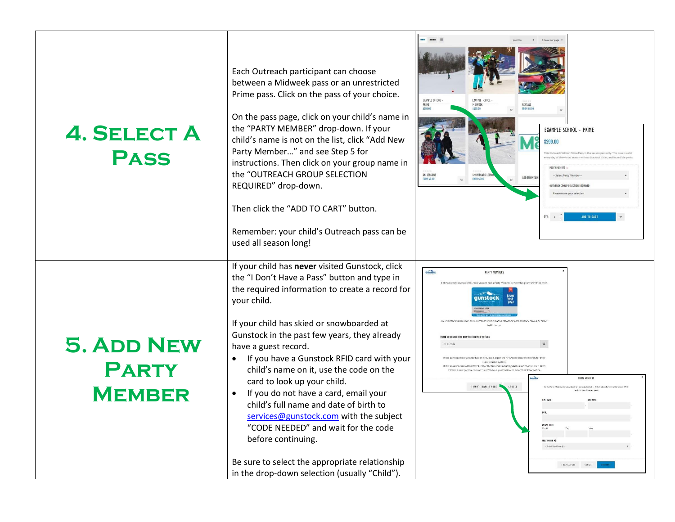| <b>4. SELECT A</b><br><b>PASS</b>                  | Each Outreach participant can choose<br>between a Midweek pass or an unrestricted<br>Prime pass. Click on the pass of your choice.<br>On the pass page, click on your child's name in<br>the "PARTY MEMBER" drop-down. If your<br>child's name is not on the list, click "Add New<br>Party Member" and see Step 5 for<br>instructions. Then click on your group name in<br>the "OUTREACH GROUP SELECTION<br>REQUIRED" drop-down.<br>Then click the "ADD TO CART" button.<br>Remember: your child's Outreach pass can be<br>used all season long!                                                                                                                                                            | PRIME<br><b>RENTALS</b><br>MIDWEEK<br>\$299.00<br>FROM SO O<br>EXAMPLE SCHOOL - PRIME<br>\$299.00<br>his Outreach Winter Prime Pass, is the season pass only."<br>irv day of the winter's<br>PARTY MEMBER<br>SKI LESSON<br>SNOWBOARD LES<br>-- Select Party Member<br>ADD MOUNTAIN<br><b>ROM SO.00</b><br><b>FROM \$0.00</b><br><b><i>OUTREACH GROUP SELECTION REQUIRE</i></b><br>lease make your selectio<br><b>ADD TO CART</b><br>QTY: 1                                                                           |
|----------------------------------------------------|-------------------------------------------------------------------------------------------------------------------------------------------------------------------------------------------------------------------------------------------------------------------------------------------------------------------------------------------------------------------------------------------------------------------------------------------------------------------------------------------------------------------------------------------------------------------------------------------------------------------------------------------------------------------------------------------------------------|----------------------------------------------------------------------------------------------------------------------------------------------------------------------------------------------------------------------------------------------------------------------------------------------------------------------------------------------------------------------------------------------------------------------------------------------------------------------------------------------------------------------|
| <b>5. ADD NEW</b><br><b>PARTY</b><br><b>MEMBER</b> | If your child has never visited Gunstock, click<br>the "I Don't Have a Pass" button and type in<br>the required information to create a record for<br>your child.<br>If your child has skied or snowboarded at<br>Gunstock in the past few years, they already<br>have a guest record.<br>If you have a Gunstock RFID card with your<br>child's name on it, use the code on the<br>card to look up your child.<br>If you do not have a card, email your<br>child's full name and date of birth to<br>services@gunstock.com with the subject<br>"CODE NEEDED" and wait for the code<br>before continuing.<br>Be sure to select the appropriate relationship<br>in the drop-down selection (usually "Child"). | Gunstock<br><b>PARTY MEMBERS</b><br>If they already have an RFID card, you can add a Party<br>he party member already has an REID card, enter the REID code above to<br>th a WTP#, enter the full code including dashes (A123456B C7D-8E9<br>on, click on "I don't have a pass" below to enter their<br><b>PARTY MEMBERS</b><br><b>I DON'T HAVE A PASS</b><br>CANCEL<br>ber by entering their personal details. If they already have a G<br>card, click on Thome a pass<br>DATE OF BIRTH<br><b>I BAVE &amp; PASS</b> |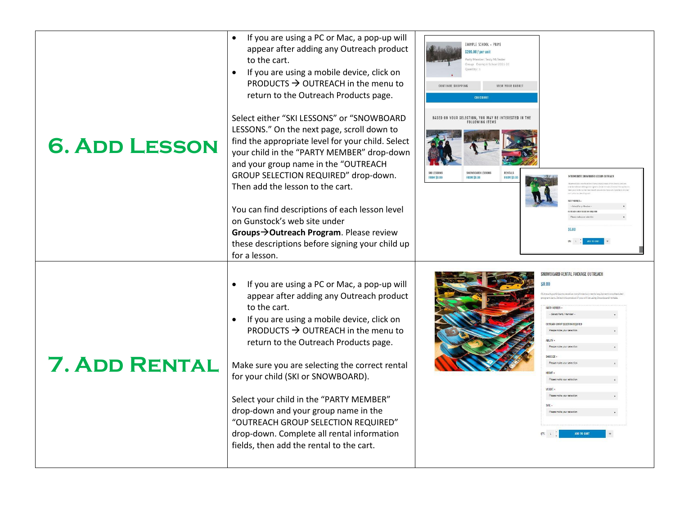| <b>6. ADD LESSON</b> | If you are using a PC or Mac, a pop-up will<br>appear after adding any Outreach product<br>to the cart.<br>If you are using a mobile device, click on<br>$\bullet$<br>PRODUCTS $\rightarrow$ OUTREACH in the menu to<br>return to the Outreach Products page.<br>Select either "SKI LESSONS" or "SNOWBOARD<br>LESSONS." On the next page, scroll down to<br>find the appropriate level for your child. Select<br>your child in the "PARTY MEMBER" drop-down<br>and your group name in the "OUTREACH<br>GROUP SELECTION REQUIRED" drop-down.<br>Then add the lesson to the cart.<br>You can find descriptions of each lesson level<br>on Gunstock's web site under<br>Groups->Outreach Program. Please review<br>these descriptions before signing your child up<br>for a lesson. | EXAMPLE SCHOOL - PRIME<br>\$299.00 / per unit<br>Member: Testy McTeste<br>Group: Example School 2021-22<br>CONTINUE SHOPPING<br>VIEW YOUR BASKET<br><b>CHECKOUT</b><br>YOUR SELECTION, YOU MAY BE INTERESTED IN TH<br><b>FOLLOWING ITEMS</b><br>SKI LESSONS<br>SNOWBOARD LESSONS<br><b>RENTALS</b><br>NTERMEDIATE SNOWBOARD LESSON OUTREAC<br><b>FROM \$0.00</b><br><b>FROM SO OD</b><br>FROM SO    |
|----------------------|----------------------------------------------------------------------------------------------------------------------------------------------------------------------------------------------------------------------------------------------------------------------------------------------------------------------------------------------------------------------------------------------------------------------------------------------------------------------------------------------------------------------------------------------------------------------------------------------------------------------------------------------------------------------------------------------------------------------------------------------------------------------------------|-----------------------------------------------------------------------------------------------------------------------------------------------------------------------------------------------------------------------------------------------------------------------------------------------------------------------------------------------------------------------------------------------------|
| <b>7. ADD RENTAL</b> | If you are using a PC or Mac, a pop-up will<br>appear after adding any Outreach product<br>to the cart.<br>If you are using a mobile device, click on<br>PRODUCTS $\rightarrow$ OUTREACH in the menu to<br>return to the Outreach Products page.<br>Make sure you are selecting the correct rental<br>for your child (SKI or SNOWBOARD).<br>Select your child in the "PARTY MEMBER"<br>drop-down and your group name in the<br>"OUTREACH GROUP SELECTION REQUIRED"<br>drop-down. Complete all rental information<br>fields, then add the rental to the cart.                                                                                                                                                                                                                     | WOWROARD RENTAL PACKAGE OUTREAC<br>\$0.00<br>rom dove. Select this moduct if you will be usine Sr<br><b>PARTY MEMBER</b><br>- Select Party Men<br>OUTREACH GROUP SELECTION REQUIRED<br>ARILITY -<br>Please make your select<br>SHOP SUZE +<br>Please make your selectio<br>HRIGHT -<br>Please make your selecti<br>WEIGHT -<br>Please make your selectio<br>Please make your selecti<br>ADD TO CART |